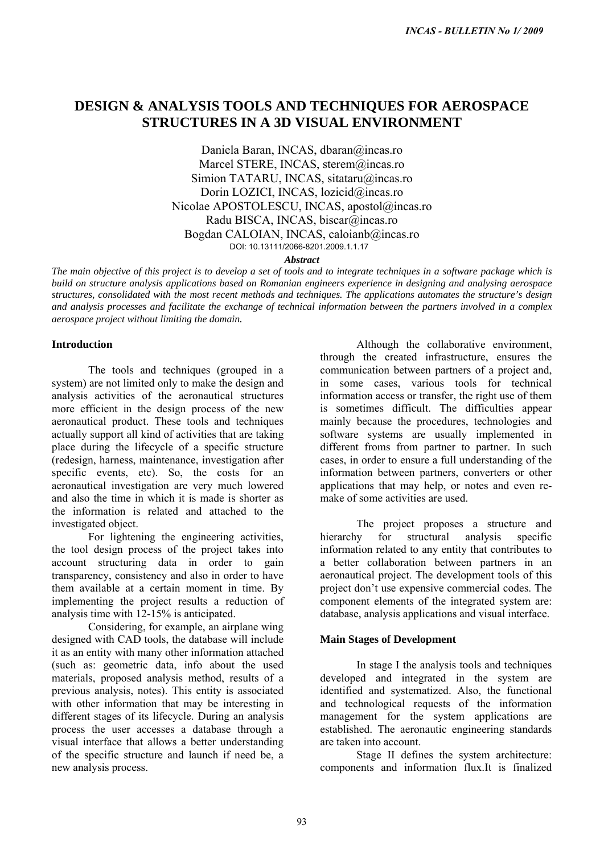# **DESIGN & ANALYSIS TOOLS AND TECHNIQUES FOR AEROSPACE STRUCTURES IN A 3D VISUAL ENVIRONMENT**

Daniela Baran, INCAS, dbaran@incas.ro Marcel STERE, INCAS, sterem@incas.ro Simion TATARU, INCAS, sitataru@incas.ro Dorin LOZICI, INCAS, lozicid@incas.ro Nicolae APOSTOLESCU, INCAS, apostol@incas.ro Radu BISCA, INCAS, biscar@incas.ro Bogdan CALOIAN, INCAS, caloianb@incas.ro DOI: 10.13111/2066-8201.2009.1.1.17

*Abstract* 

*The main objective of this project is to develop a set of tools and to integrate techniques in a software package which is build on structure analysis applications based on Romanian engineers experience in designing and analysing aerospace structures, consolidated with the most recent methods and techniques. The applications automates the structure's design and analysis processes and facilitate the exchange of technical information between the partners involved in a complex aerospace project without limiting the domain.* 

### **Introduction**

The tools and techniques (grouped in a system) are not limited only to make the design and analysis activities of the aeronautical structures more efficient in the design process of the new aeronautical product. These tools and techniques actually support all kind of activities that are taking place during the lifecycle of a specific structure (redesign, harness, maintenance, investigation after specific events, etc). So, the costs for an aeronautical investigation are very much lowered and also the time in which it is made is shorter as the information is related and attached to the investigated object.

For lightening the engineering activities, the tool design process of the project takes into account structuring data in order to gain transparency, consistency and also in order to have them available at a certain moment in time. By implementing the project results a reduction of analysis time with 12-15% is anticipated.

Considering, for example, an airplane wing designed with CAD tools, the database will include it as an entity with many other information attached (such as: geometric data, info about the used materials, proposed analysis method, results of a previous analysis, notes). This entity is associated with other information that may be interesting in different stages of its lifecycle. During an analysis process the user accesses a database through a visual interface that allows a better understanding of the specific structure and launch if need be, a new analysis process.

Although the collaborative environment, through the created infrastructure, ensures the communication between partners of a project and, in some cases, various tools for technical information access or transfer, the right use of them is sometimes difficult. The difficulties appear mainly because the procedures, technologies and software systems are usually implemented in different froms from partner to partner. In such cases, in order to ensure a full understanding of the information between partners, converters or other applications that may help, or notes and even remake of some activities are used. *INCAS - BIULETIN No 1/ 2009*<br> **DD TECHNIQUES FOR AEROSPACE**<br>
VISUAL ENVIRONMENT<br>
AS, detaragénesas.ro<br>
AS, sterarnégines are<br>
AS, sterarnégines are<br>
CAS, sterarnégines are<br>
AS, located génes are<br>
AS, located génes are<br>
AS

The project proposes a structure and hierarchy for structural analysis specific information related to any entity that contributes to a better collaboration between partners in an aeronautical project. The development tools of this project don't use expensive commercial codes. The component elements of the integrated system are: database, analysis applications and visual interface.

## **Main Stages of Development**

In stage I the analysis tools and techniques developed and integrated in the system are identified and systematized. Also, the functional and technological requests of the information management for the system applications are established. The aeronautic engineering standards are taken into account.

Stage II defines the system architecture: components and information flux.It is finalized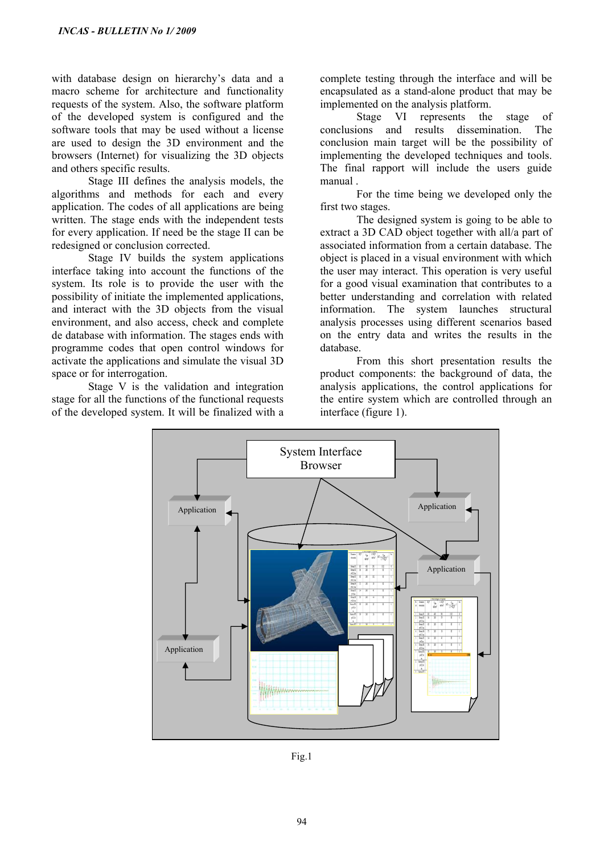with database design on hierarchy's data and a macro scheme for architecture and functionality requests of the system. Also, the software platform of the developed system is configured and the software tools that may be used without a license are used to design the 3D environment and the browsers (Internet) for visualizing the 3D objects and others specific results.

Stage III defines the analysis models, the algorithms and methods for each and every application. The codes of all applications are being written. The stage ends with the independent tests for every application. If need be the stage II can be redesigned or conclusion corrected.

Stage IV builds the system applications interface taking into account the functions of the system. Its role is to provide the user with the possibility of initiate the implemented applications, and interact with the 3D objects from the visual environment, and also access, check and complete de database with information. The stages ends with programme codes that open control windows for activate the applications and simulate the visual 3D space or for interrogation.

Stage V is the validation and integration stage for all the functions of the functional requests of the developed system. It will be finalized with a complete testing through the interface and will be encapsulated as a stand-alone product that may be implemented on the analysis platform.

Stage VI represents the stage of conclusions and results dissemination. The conclusion main target will be the possibility of implementing the developed techniques and tools. The final rapport will include the users guide manual .

For the time being we developed only the first two stages.

The designed system is going to be able to extract a 3D CAD object together with all/a part of associated information from a certain database. The object is placed in a visual environment with which the user may interact. This operation is very useful for a good visual examination that contributes to a better understanding and correlation with related information. The system launches structural analysis processes using different scenarios based on the entry data and writes the results in the database.

From this short presentation results the product components: the background of data, the analysis applications, the control applications for the entire system which are controlled through an interface (figure 1).



Fig.1